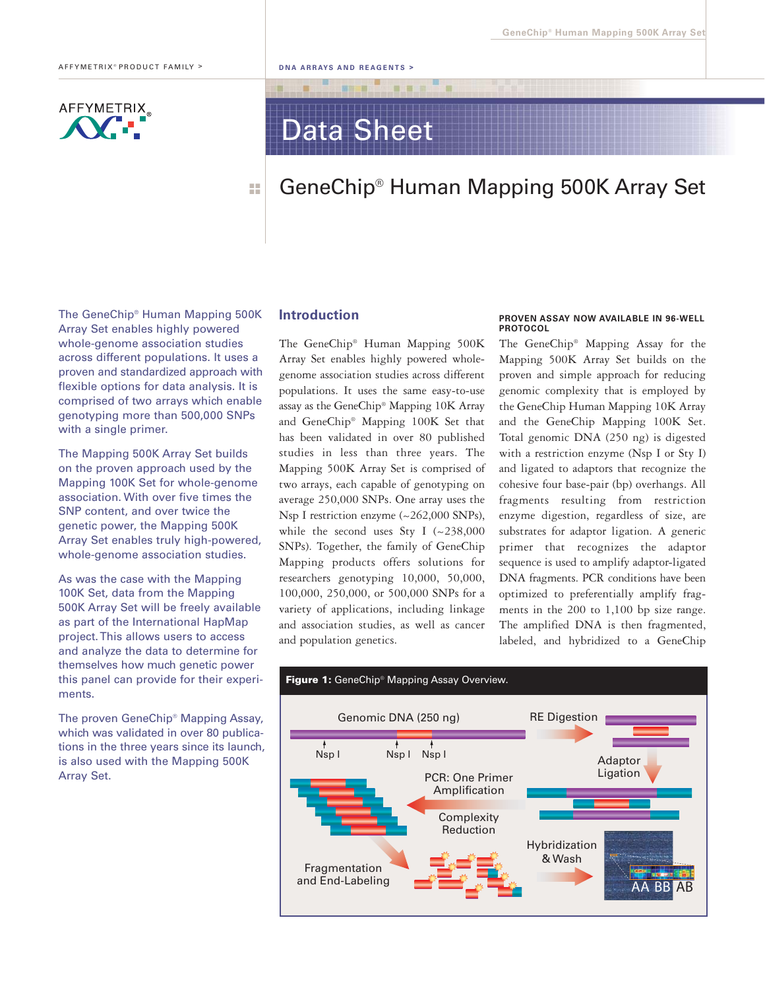## **AFFYMETRIX**

# Data Sheet

 $-12$ 

#### GeneChip® Human Mapping 500K Array Set ■ ■ ■ ■

The GeneChip® Human Mapping 500K Array Set enables highly powered whole-genome association studies across different populations. It uses a proven and standardized approach with flexible options for data analysis. It is comprised of two arrays which enable genotyping more than 500,000 SNPs with a single primer.

The Mapping 500K Array Set builds on the proven approach used by the Mapping 100K Set for whole-genome association. With over five times the SNP content, and over twice the genetic power, the Mapping 500K Array Set enables truly high-powered, whole-genome association studies.

As was the case with the Mapping 100K Set, data from the Mapping 500K Array Set will be freely available as part of the International HapMap project. This allows users to access and analyze the data to determine for themselves how much genetic power this panel can provide for their experiments.

The proven GeneChip® Mapping Assay, which was validated in over 80 publications in the three years since its launch, is also used with the Mapping 500K Array Set.

#### Introduction

The GeneChip® Human Mapping 500K Array Set enables highly powered wholegenome association studies across different populations. It uses the same easy-to-use assay as the GeneChip® Mapping 10K Array and GeneChip® Mapping 100K Set that has been validated in over 80 published studies in less than three years. The Mapping 500K Array Set is comprised of two arrays, each capable of genotyping on average 250,000 SNPs. One array uses the Nsp I restriction enzyme (~262,000 SNPs), while the second uses Sty I  $(-238,000)$ SNPs). Together, the family of GeneChip Mapping products offers solutions for researchers genotyping 10,000, 50,000, 100,000, 250,000, or 500,000 SNPs for a variety of applications, including linkage and association studies, as well as cancer and population genetics.

#### PROVEN ASSAY NOW AVAILABLE IN 96-WELL **PROTOCOL**

The GeneChip® Mapping Assay for the Mapping 500K Array Set builds on the proven and simple approach for reducing genomic complexity that is employed by the GeneChip Human Mapping 10K Array and the GeneChip Mapping 100K Set. Total genomic DNA (250 ng) is digested with a restriction enzyme (Nsp I or Sty I) and ligated to adaptors that recognize the cohesive four base-pair (bp) overhangs. All fragments resulting from restriction enzyme digestion, regardless of size, are substrates for adaptor ligation. A generic primer that recognizes the adaptor sequence is used to amplify adaptor-ligated DNA fragments. PCR conditions have been optimized to preferentially amplify fragments in the 200 to 1,100 bp size range. The amplified DNA is then fragmented, labeled, and hybridized to a GeneChip

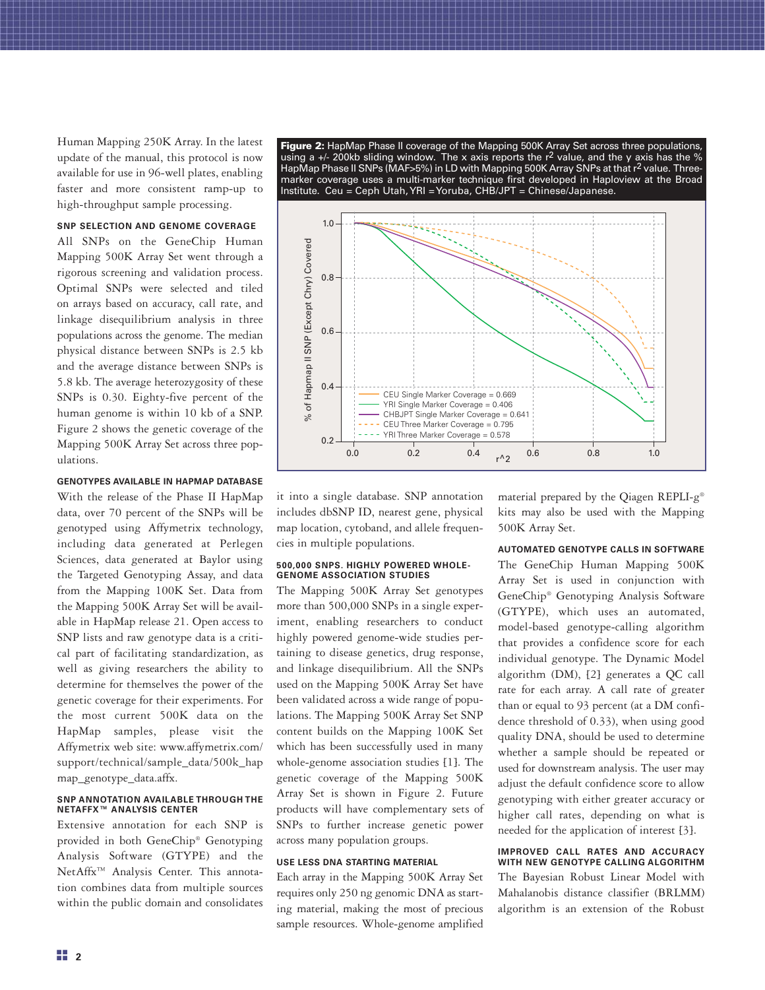Human Mapping 250K Array. In the latest update of the manual, this protocol is now available for use in 96-well plates, enabling faster and more consistent ramp-up to high-throughput sample processing.

### SNP SELECTION AND GENOME COVERAGE

All SNPs on the GeneChip Human Mapping 500K Array Set went through a rigorous screening and validation process. Optimal SNPs were selected and tiled on arrays based on accuracy, call rate, and linkage disequilibrium analysis in three populations across the genome. The median physical distance between SNPs is 2.5 kb and the average distance between SNPs is 5.8 kb. The average heterozygosity of these SNPs is 0.30. Eighty-five percent of the human genome is within 10 kb of a SNP. Figure 2 shows the genetic coverage of the Mapping 500K Array Set across three populations.

#### GENOTYPES AVAILABLE IN HAPMAP DATABASE

With the release of the Phase II HapMap data, over 70 percent of the SNPs will be genotyped using Affymetrix technology, including data generated at Perlegen Sciences, data generated at Baylor using the Targeted Genotyping Assay, and data from the Mapping 100K Set. Data from the Mapping 500K Array Set will be available in HapMap release 21. Open access to SNP lists and raw genotype data is a critical part of facilitating standardization, as well as giving researchers the ability to determine for themselves the power of the genetic coverage for their experiments. For the most current 500K data on the HapMap samples, please visit the Affymetrix web site: www.affymetrix.com/ support/technical/sample\_data/500k\_hap map\_genotype\_data.affx.

#### SNP ANNOTATION AVAILABLE THROUGH THE NETAFFX™ ANALYSIS CENTER

Extensive annotation for each SNP is provided in both GeneChip® Genotyping Analysis Software (GTYPE) and the NetAffx<sup>™</sup> Analysis Center. This annotation combines data from multiple sources within the public domain and consolidates

**Figure 2:** HapMap Phase II coverage of the Mapping 500K Array Set across three populations,<br>using a +/- 200kb sliding window. The x axis reports the r<sup>2</sup> value, and the y axis has the % HapMap Phase II SNPs (MAF>5%) in LD with Mapping 500K Array SNPs at that r<sup>2</sup> value. Threemarker coverage uses a multi-marker technique first developed in Haploview at the Broad Institute. Ceu = Ceph Utah, YRI = Yoruba, CHB/JPT = Chinese/Japanese.



it into a single database. SNP annotation includes dbSNP ID, nearest gene, physical map location, cytoband, and allele frequencies in multiple populations.

#### 500,000 SNPS. HIGHLY POWERED WHOLE-GENOME ASSOCIATION STUDIES

The Mapping 500K Array Set genotypes more than 500,000 SNPs in a single experiment, enabling researchers to conduct highly powered genome-wide studies pertaining to disease genetics, drug response, and linkage disequilibrium. All the SNPs used on the Mapping 500K Array Set have been validated across a wide range of populations. The Mapping 500K Array Set SNP content builds on the Mapping 100K Set which has been successfully used in many whole-genome association studies [1]. The genetic coverage of the Mapping 500K Array Set is shown in Figure 2. Future products will have complementary sets of SNPs to further increase genetic power across many population groups.

#### USE LESS DNA STARTING MATERIAL

Each array in the Mapping 500K Array Set requires only 250 ng genomic DNA as starting material, making the most of precious sample resources. Whole-genome amplified material prepared by the Qiagen REPLI-g® kits may also be used with the Mapping 500K Array Set.

#### AUTOMATED GENOTYPE CALLS IN SOFTWARE

The GeneChip Human Mapping 500K Array Set is used in conjunction with GeneChip® Genotyping Analysis Software (GTYPE), which uses an automated, model-based genotype-calling algorithm that provides a confidence score for each individual genotype. The Dynamic Model algorithm (DM), [2] generates a QC call rate for each array. A call rate of greater than or equal to 93 percent (at a DM confidence threshold of 0.33), when using good quality DNA, should be used to determine whether a sample should be repeated or used for downstream analysis. The user may adjust the default confidence score to allow genotyping with either greater accuracy or higher call rates, depending on what is needed for the application of interest [3].

#### IMPROVED CALL RATES AND ACCURACY WITH NEW GENOTYPE CALLING ALGORITHM

The Bayesian Robust Linear Model with Mahalanobis distance classifier (BRLMM) algorithm is an extension of the Robust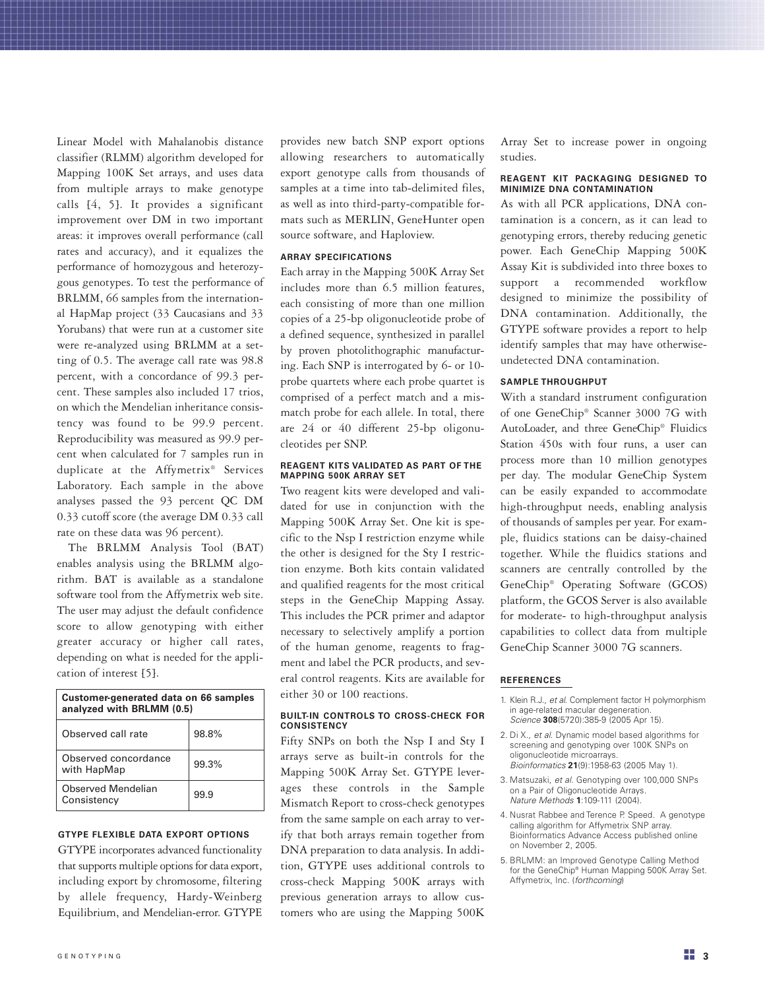Linear Model with Mahalanobis distance classifier (RLMM) algorithm developed for Mapping 100K Set arrays, and uses data from multiple arrays to make genotype calls [4, 5]. It provides a significant improvement over DM in two important areas: it improves overall performance (call rates and accuracy), and it equalizes the performance of homozygous and heterozygous genotypes. To test the performance of BRLMM, 66 samples from the international HapMap project (33 Caucasians and 33 Yorubans) that were run at a customer site were re-analyzed using BRLMM at a setting of 0.5. The average call rate was 98.8 percent, with a concordance of 99.3 percent. These samples also included 17 trios, on which the Mendelian inheritance consistency was found to be 99.9 percent. Reproducibility was measured as 99.9 percent when calculated for 7 samples run in duplicate at the Affymetrix® Services Laboratory. Each sample in the above analyses passed the 93 percent QC DM 0.33 cutoff score (the average DM 0.33 call rate on these data was 96 percent).

The BRLMM Analysis Tool (BAT) enables analysis using the BRLMM algorithm. BAT is available as a standalone software tool from the Affymetrix web site. The user may adjust the default confidence score to allow genotyping with either greater accuracy or higher call rates, depending on what is needed for the application of interest [5].

| Customer-generated data on 66 samples<br>analyzed with BRLMM (0.5) |       |
|--------------------------------------------------------------------|-------|
| Observed call rate                                                 | 98.8% |
| Observed concordance<br>with HapMap                                | 99.3% |
| Observed Mendelian<br>Consistency                                  | 99.9  |

#### GTYPE FLEXIBLE DATA EXPORT OPTIONS

GTYPE incorporates advanced functionality that supports multiple options for data export, including export by chromosome, filtering by allele frequency, Hardy-Weinberg Equilibrium, and Mendelian-error. GTYPE provides new batch SNP export options allowing researchers to automatically export genotype calls from thousands of samples at a time into tab-delimited files, as well as into third-party-compatible formats such as MERLIN, GeneHunter open source software, and Haploview.

#### ARRAY SPECIFICATIONS

Each array in the Mapping 500K Array Set includes more than 6.5 million features, each consisting of more than one million copies of a 25-bp oligonucleotide probe of a defined sequence, synthesized in parallel by proven photolithographic manufacturing. Each SNP is interrogated by 6- or 10 probe quartets where each probe quartet is comprised of a perfect match and a mismatch probe for each allele. In total, there are 24 or 40 different 25-bp oligonucleotides per SNP.

#### REAGENT KITS VALIDATED AS PART OF THE MAPPING 500K ARRAY SET

Two reagent kits were developed and validated for use in conjunction with the Mapping 500K Array Set. One kit is specific to the Nsp I restriction enzyme while the other is designed for the Sty I restriction enzyme. Both kits contain validated and qualified reagents for the most critical steps in the GeneChip Mapping Assay. This includes the PCR primer and adaptor necessary to selectively amplify a portion of the human genome, reagents to fragment and label the PCR products, and several control reagents. Kits are available for either 30 or 100 reactions.

#### BUILT-IN CONTROLS TO CROSS-CHECK FOR **CONSISTENCY**

Fifty SNPs on both the Nsp I and Sty I arrays serve as built-in controls for the Mapping 500K Array Set. GTYPE leverages these controls in the Sample Mismatch Report to cross-check genotypes from the same sample on each array to verify that both arrays remain together from DNA preparation to data analysis. In addition, GTYPE uses additional controls to cross-check Mapping 500K arrays with previous generation arrays to allow customers who are using the Mapping 500K Array Set to increase power in ongoing studies.

#### REAGENT KIT PACKAGING DESIGNED TO MINIMIZE DNA CONTAMINATION

As with all PCR applications, DNA contamination is a concern, as it can lead to genotyping errors, thereby reducing genetic power. Each GeneChip Mapping 500K Assay Kit is subdivided into three boxes to support a recommended workflow designed to minimize the possibility of DNA contamination. Additionally, the GTYPE software provides a report to help identify samples that may have otherwiseundetected DNA contamination.

#### SAMPLE THROUGHPUT

With a standard instrument configuration of one GeneChip® Scanner 3000 7G with AutoLoader, and three GeneChip® Fluidics Station 450s with four runs, a user can process more than 10 million genotypes per day. The modular GeneChip System can be easily expanded to accommodate high-throughput needs, enabling analysis of thousands of samples per year. For example, fluidics stations can be daisy-chained together. While the fluidics stations and scanners are centrally controlled by the GeneChip® Operating Software (GCOS) platform, the GCOS Server is also available for moderate- to high-throughput analysis capabilities to collect data from multiple GeneChip Scanner 3000 7G scanners.

#### REFERENCES

- 1. Klein R.J., et al. Complement factor H polymorphism in age-related macular degeneration. Science 308(5720):385-9 (2005 Apr 15).
- 2. Di X., et al. Dynamic model based algorithms for screening and genotyping over 100K SNPs on oligonucleotide microarrays. Bioinformatics 21(9):1958-63 (2005 May 1).
- 3. Matsuzaki, et al. Genotyping over 100,000 SNPs on a Pair of Oligonucleotide Arrays. Nature Methods 1:109-111 (2004).
- 4. Nusrat Rabbee and Terence P. Speed. A genotype calling algorithm for Affymetrix SNP array. Bioinformatics Advance Access published online on November 2, 2005.
- 5. BRLMM: an Improved Genotype Calling Method for the GeneChip® Human Mapping 500K Array Set. Affymetrix, Inc. (forthcoming)